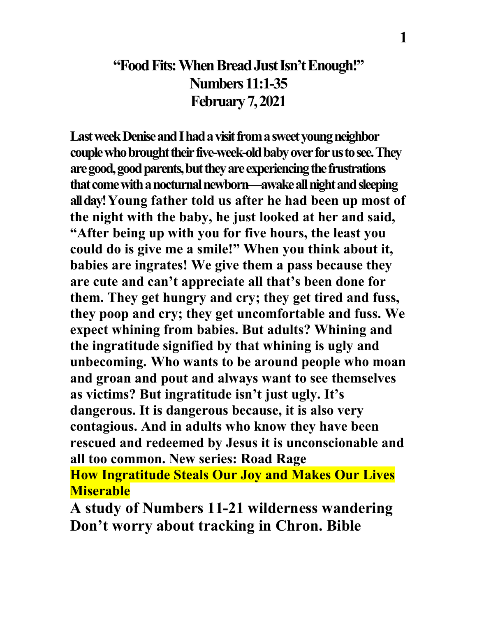#### **"Food Fits: When Bread Just Isn't Enough!" Numbers 11:1-35 February 7, 2021**

**Last week Denise and I had a visit from a sweet young neighbor couple whobrought their five-week-old baby over for us to see. They**  are good, good parents, but they are experiencing the frustrations **that come with a nocturnal newborn—awake all night and sleeping all day! Young father told us after he had been up most of the night with the baby, he just looked at her and said, "After being up with you for five hours, the least you could do is give me a smile!" When you think about it, babies are ingrates! We give them a pass because they are cute and can't appreciate all that's been done for them. They get hungry and cry; they get tired and fuss, they poop and cry; they get uncomfortable and fuss. We expect whining from babies. But adults? Whining and the ingratitude signified by that whining is ugly and unbecoming. Who wants to be around people who moan and groan and pout and always want to see themselves as victims? But ingratitude isn't just ugly. It's dangerous. It is dangerous because, it is also very contagious. And in adults who know they have been rescued and redeemed by Jesus it is unconscionable and all too common. New series: Road Rage How Ingratitude Steals Our Joy and Makes Our Lives Miserable**

**A study of Numbers 11-21 wilderness wandering Don't worry about tracking in Chron. Bible**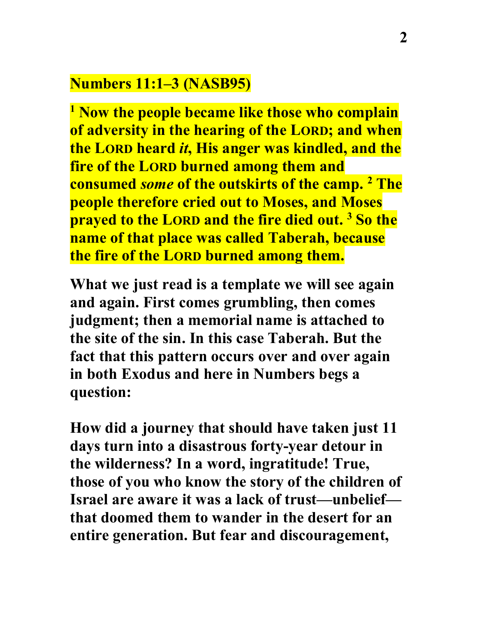### **Numbers 11:1–3 (NASB95)**

**<sup>1</sup> Now the people became like those who complain of adversity in the hearing of the LORD; and when the LORD heard** *it***, His anger was kindled, and the fire of the LORD burned among them and consumed** *some* **of the outskirts of the camp. 2 The people therefore cried out to Moses, and Moses prayed to the LORD and the fire died out. 3 So the name of that place was called Taberah, because the fire of the LORD burned among them.**

**What we just read is a template we will see again and again. First comes grumbling, then comes judgment; then a memorial name is attached to the site of the sin. In this case Taberah. But the fact that this pattern occurs over and over again in both Exodus and here in Numbers begs a question:**

**How did a journey that should have taken just 11 days turn into a disastrous forty-year detour in the wilderness? In a word, ingratitude! True, those of you who know the story of the children of Israel are aware it was a lack of trust—unbelief that doomed them to wander in the desert for an entire generation. But fear and discouragement,**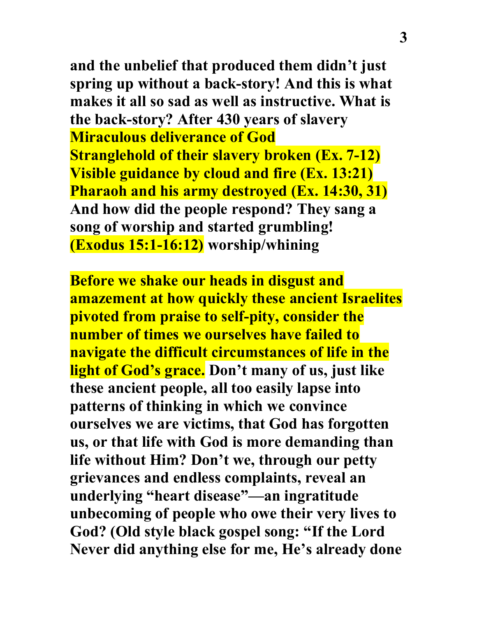**and the unbelief that produced them didn't just spring up without a back-story! And this is what makes it all so sad as well as instructive. What is the back-story? After 430 years of slavery Miraculous deliverance of God Stranglehold of their slavery broken (Ex. 7-12) Visible guidance by cloud and fire (Ex. 13:21) Pharaoh and his army destroyed (Ex. 14:30, 31) And how did the people respond? They sang a song of worship and started grumbling! (Exodus 15:1-16:12) worship/whining**

**Before we shake our heads in disgust and amazement at how quickly these ancient Israelites pivoted from praise to self-pity, consider the number of times we ourselves have failed to navigate the difficult circumstances of life in the light of God's grace. Don't many of us, just like these ancient people, all too easily lapse into patterns of thinking in which we convince ourselves we are victims, that God has forgotten us, or that life with God is more demanding than life without Him? Don't we, through our petty grievances and endless complaints, reveal an underlying "heart disease"—an ingratitude unbecoming of people who owe their very lives to God? (Old style black gospel song: "If the Lord Never did anything else for me, He's already done**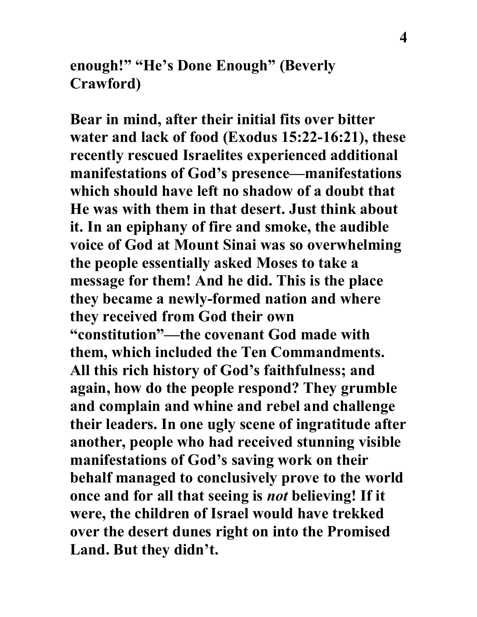**enough!" "He's Done Enough" (Beverly Crawford)**

**Bear in mind, after their initial fits over bitter water and lack of food (Exodus 15:22-16:21), these recently rescued Israelites experienced additional manifestations of God's presence—manifestations which should have left no shadow of a doubt that He was with them in that desert. Just think about it. In an epiphany of fire and smoke, the audible voice of God at Mount Sinai was so overwhelming the people essentially asked Moses to take a message for them! And he did. This is the place they became a newly-formed nation and where they received from God their own "constitution"—the covenant God made with them, which included the Ten Commandments. All this rich history of God's faithfulness; and again, how do the people respond? They grumble and complain and whine and rebel and challenge their leaders. In one ugly scene of ingratitude after another, people who had received stunning visible manifestations of God's saving work on their behalf managed to conclusively prove to the world once and for all that seeing is** *not* **believing! If it were, the children of Israel would have trekked over the desert dunes right on into the Promised Land. But they didn't.**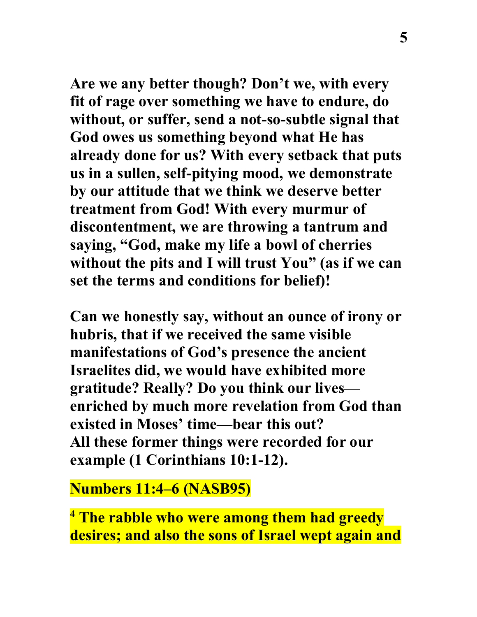**Are we any better though? Don't we, with every fit of rage over something we have to endure, do without, or suffer, send a not-so-subtle signal that God owes us something beyond what He has already done for us? With every setback that puts us in a sullen, self-pitying mood, we demonstrate by our attitude that we think we deserve better treatment from God! With every murmur of discontentment, we are throwing a tantrum and saying, "God, make my life a bowl of cherries without the pits and I will trust You" (as if we can set the terms and conditions for belief)!**

**Can we honestly say, without an ounce of irony or hubris, that if we received the same visible manifestations of God's presence the ancient Israelites did, we would have exhibited more gratitude? Really? Do you think our lives enriched by much more revelation from God than existed in Moses' time—bear this out? All these former things were recorded for our example (1 Corinthians 10:1-12).**

## **Numbers 11:4–6 (NASB95)**

**<sup>4</sup> The rabble who were among them had greedy desires; and also the sons of Israel wept again and**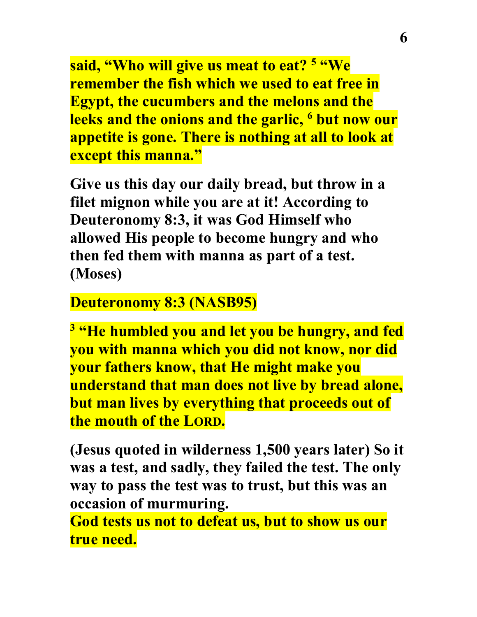**said, "Who will give us meat to eat? 5 "We remember the fish which we used to eat free in Egypt, the cucumbers and the melons and the leeks and the onions and the garlic, 6 but now our appetite is gone. There is nothing at all to look at except this manna."**

**Give us this day our daily bread, but throw in a filet mignon while you are at it! According to Deuteronomy 8:3, it was God Himself who allowed His people to become hungry and who then fed them with manna as part of a test. (Moses)**

### **Deuteronomy 8:3 (NASB95)**

**<sup>3</sup> "He humbled you and let you be hungry, and fed you with manna which you did not know, nor did your fathers know, that He might make you understand that man does not live by bread alone, but man lives by everything that proceeds out of the mouth of the LORD.**

**(Jesus quoted in wilderness 1,500 years later) So it was a test, and sadly, they failed the test. The only way to pass the test was to trust, but this was an occasion of murmuring.**

**God tests us not to defeat us, but to show us our true need.**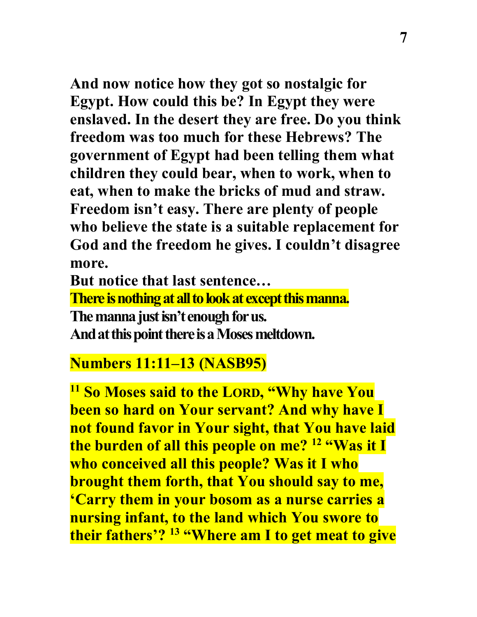**And now notice how they got so nostalgic for Egypt. How could this be? In Egypt they were enslaved. In the desert they are free. Do you think freedom was too much for these Hebrews? The government of Egypt had been telling them what children they could bear, when to work, when to eat, when to make the bricks of mud and straw. Freedom isn't easy. There are plenty of people who believe the state is a suitable replacement for God and the freedom he gives. I couldn't disagree more.**

**But notice that last sentence… There is nothing at all to look at except this manna. The manna just isn't enough for us. And at this point there is a Moses meltdown.**

# **Numbers 11:11–13 (NASB95)**

**<sup>11</sup> So Moses said to the LORD, "Why have You been so hard on Your servant? And why have I not found favor in Your sight, that You have laid the burden of all this people on me? 12 "Was it I who conceived all this people? Was it I who brought them forth, that You should say to me, 'Carry them in your bosom as a nurse carries a nursing infant, to the land which You swore to their fathers'? 13 "Where am I to get meat to give**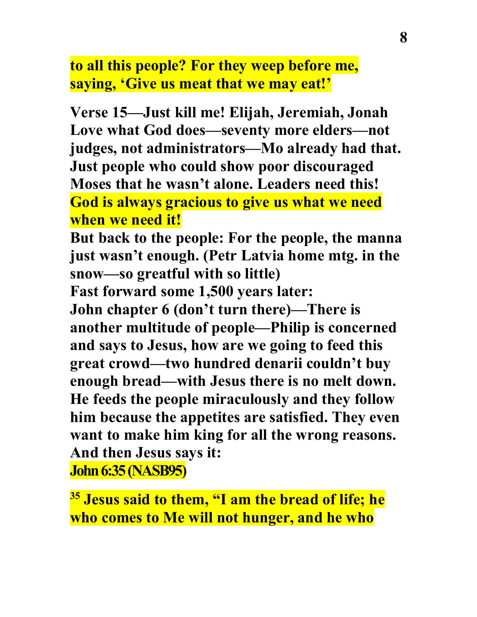**to all this people? For they weep before me, saying, 'Give us meat that we may eat!'**

**Verse 15—Just kill me! Elijah, Jeremiah, Jonah Love what God does—seventy more elders—not judges, not administrators—Mo already had that. Just people who could show poor discouraged Moses that he wasn't alone. Leaders need this! God is always gracious to give us what we need when we need it!**

**But back to the people: For the people, the manna just wasn't enough. (Petr Latvia home mtg. in the snow—so greatful with so little)**

**Fast forward some 1,500 years later:**

**John chapter 6 (don't turn there)—There is another multitude of people—Philip is concerned and says to Jesus, how are we going to feed this great crowd—two hundred denarii couldn't buy enough bread—with Jesus there is no melt down. He feeds the people miraculously and they follow him because the appetites are satisfied. They even want to make him king for all the wrong reasons. And then Jesus says it: John 6:35 (NASB95)** 

**<sup>35</sup> Jesus said to them, "I am the bread of life; he who comes to Me will not hunger, and he who**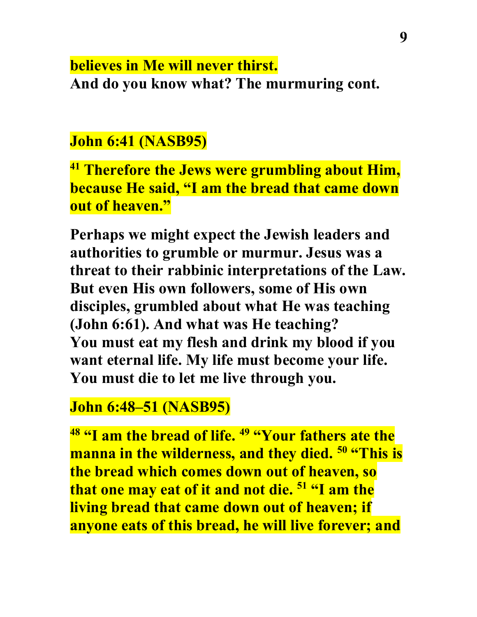### **believes in Me will never thirst. And do you know what? The murmuring cont.**

## **John 6:41 (NASB95)**

**<sup>41</sup> Therefore the Jews were grumbling about Him, because He said, "I am the bread that came down out of heaven."**

**Perhaps we might expect the Jewish leaders and authorities to grumble or murmur. Jesus was a threat to their rabbinic interpretations of the Law. But even His own followers, some of His own disciples, grumbled about what He was teaching (John 6:61). And what was He teaching? You must eat my flesh and drink my blood if you want eternal life. My life must become your life. You must die to let me live through you.**

# **John 6:48–51 (NASB95)**

**<sup>48</sup> "I am the bread of life. 49 "Your fathers ate the manna in the wilderness, and they died. 50 "This is the bread which comes down out of heaven, so that one may eat of it and not die. 51 "I am the living bread that came down out of heaven; if anyone eats of this bread, he will live forever; and**